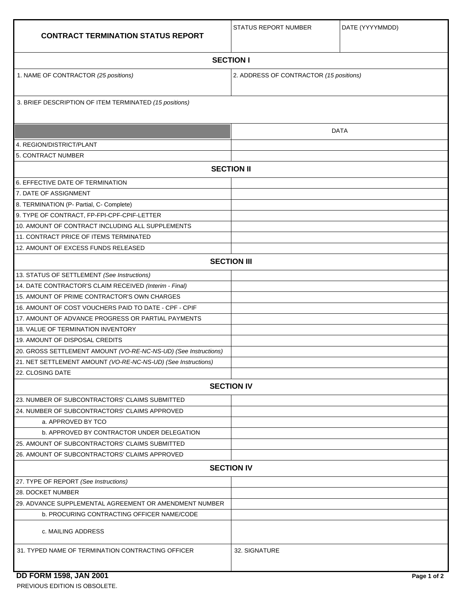| <b>CONTRACT TERMINATION STATUS REPORT</b>                       | <b>STATUS REPORT NUMBER</b>             | DATE (YYYYMMDD) |  |
|-----------------------------------------------------------------|-----------------------------------------|-----------------|--|
| <b>SECTION I</b>                                                |                                         |                 |  |
| 1. NAME OF CONTRACTOR (25 positions)                            | 2. ADDRESS OF CONTRACTOR (15 positions) |                 |  |
| 3. BRIEF DESCRIPTION OF ITEM TERMINATED (15 positions)          |                                         |                 |  |
|                                                                 |                                         | <b>DATA</b>     |  |
| 4. REGION/DISTRICT/PLANT                                        |                                         |                 |  |
| 5. CONTRACT NUMBER                                              |                                         |                 |  |
| <b>SECTION II</b>                                               |                                         |                 |  |
| 6. EFFECTIVE DATE OF TERMINATION                                |                                         |                 |  |
| 7. DATE OF ASSIGNMENT                                           |                                         |                 |  |
| 8. TERMINATION (P- Partial, C- Complete)                        |                                         |                 |  |
| 9. TYPE OF CONTRACT, FP-FPI-CPF-CPIF-LETTER                     |                                         |                 |  |
| 10. AMOUNT OF CONTRACT INCLUDING ALL SUPPLEMENTS                |                                         |                 |  |
| 11. CONTRACT PRICE OF ITEMS TERMINATED                          |                                         |                 |  |
| 12. AMOUNT OF EXCESS FUNDS RELEASED                             |                                         |                 |  |
| <b>SECTION III</b>                                              |                                         |                 |  |
| 13. STATUS OF SETTLEMENT (See Instructions)                     |                                         |                 |  |
| 14. DATE CONTRACTOR'S CLAIM RECEIVED (Interim - Final)          |                                         |                 |  |
| 15. AMOUNT OF PRIME CONTRACTOR'S OWN CHARGES                    |                                         |                 |  |
| 16. AMOUNT OF COST VOUCHERS PAID TO DATE - CPF - CPIF           |                                         |                 |  |
| 17. AMOUNT OF ADVANCE PROGRESS OR PARTIAL PAYMENTS              |                                         |                 |  |
| <b>18. VALUE OF TERMINATION INVENTORY</b>                       |                                         |                 |  |
| 19. AMOUNT OF DISPOSAL CREDITS                                  |                                         |                 |  |
| 20. GROSS SETTLEMENT AMOUNT (VO-RE-NC-NS-UD) (See Instructions) |                                         |                 |  |
| 21. NET SETTLEMENT AMOUNT (VO-RE-NC-NS-UD) (See Instructions)   |                                         |                 |  |
| 22. CLOSING DATE                                                |                                         |                 |  |
| <b>SECTION IV</b>                                               |                                         |                 |  |
| 23. NUMBER OF SUBCONTRACTORS' CLAIMS SUBMITTED                  |                                         |                 |  |
| 24. NUMBER OF SUBCONTRACTORS' CLAIMS APPROVED                   |                                         |                 |  |
| a. APPROVED BY TCO                                              |                                         |                 |  |
| <b>b. APPROVED BY CONTRACTOR UNDER DELEGATION</b>               |                                         |                 |  |
| 25. AMOUNT OF SUBCONTRACTORS' CLAIMS SUBMITTED                  |                                         |                 |  |
| 26. AMOUNT OF SUBCONTRACTORS' CLAIMS APPROVED                   |                                         |                 |  |
| <b>SECTION IV</b>                                               |                                         |                 |  |
| 27. TYPE OF REPORT (See Instructions)                           |                                         |                 |  |
| 28. DOCKET NUMBER                                               |                                         |                 |  |
| 29. ADVANCE SUPPLEMENTAL AGREEMENT OR AMENDMENT NUMBER          |                                         |                 |  |
| <b>b. PROCURING CONTRACTING OFFICER NAME/CODE</b>               |                                         |                 |  |
| c. MAILING ADDRESS                                              |                                         |                 |  |
| 31. TYPED NAME OF TERMINATION CONTRACTING OFFICER               | 32. SIGNATURE                           |                 |  |

## **DD FORM 1598, JAN 2001** Page 1 of 2